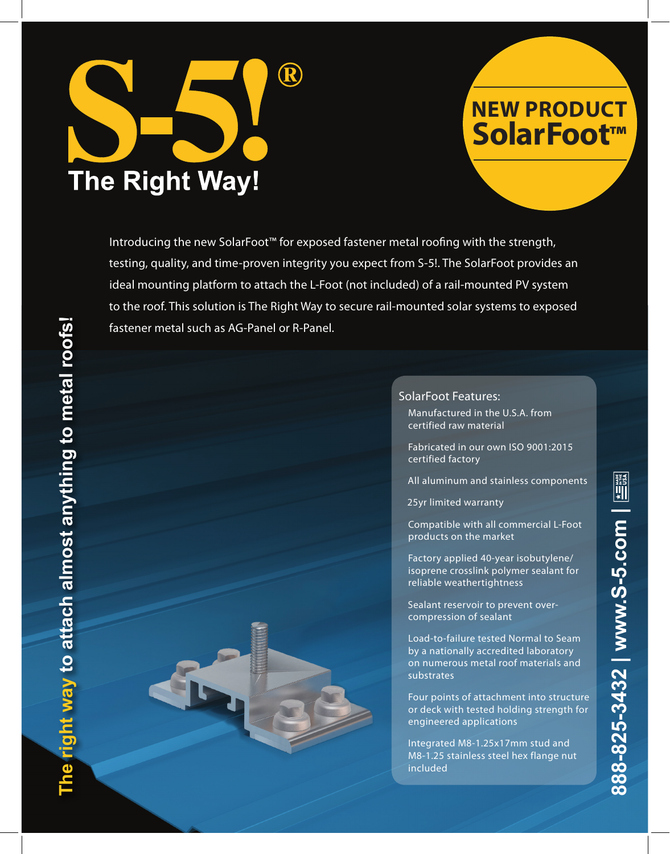

# **NEW PRODUCT SolarFoot™**

Introducing the new SolarFoot™ for exposed fastener metal roofing with the strength, testing, quality, and time-proven integrity you expect from S-5!. The SolarFoot provides an ideal mounting platform to attach the L-Foot (not included) of a rail-mounted PV system to the roof. This solution is The Right Way to secure rail-mounted solar systems to exposed fastener metal such as AG-Panel or R-Panel.

### SolarFoot Features:

Manufactured in the U.S.A. from certified raw material

- Fabricated in our own ISO 9001:2015 certified factory
- All aluminum and stainless components

25yr limited warranty

Compatible with all commercial L-Foot products on the market

Factory applied 40-year isobutylene/ isoprene crosslink polymer sealant for reliable weathertightness

Sealant reservoir to prevent overcompression of sealant

Load-to-failure tested Normal to Seam by a nationally accredited laboratory on numerous metal roof materials and substrates

**888-825-3432 | www.S-5.com |** 

888-825-3432 | www.S-5.com

 $\begin{picture}(25,20) \put(0,0){\line(1,0){155}} \put(15,0){\line(1,0){155}} \put(15,0){\line(1,0){155}} \put(15,0){\line(1,0){155}} \put(15,0){\line(1,0){155}} \put(15,0){\line(1,0){155}} \put(15,0){\line(1,0){155}} \put(15,0){\line(1,0){155}} \put(15,0){\line(1,0){155}} \put(15,0){\line(1,0){155}} \put(15,0){\line(1,0){155}} \$ 

Four points of attachment into structure or deck with tested holding strength for engineered applications

Integrated M8-1.25x17mm stud and M8-1.25 stainless steel hex flange nut included